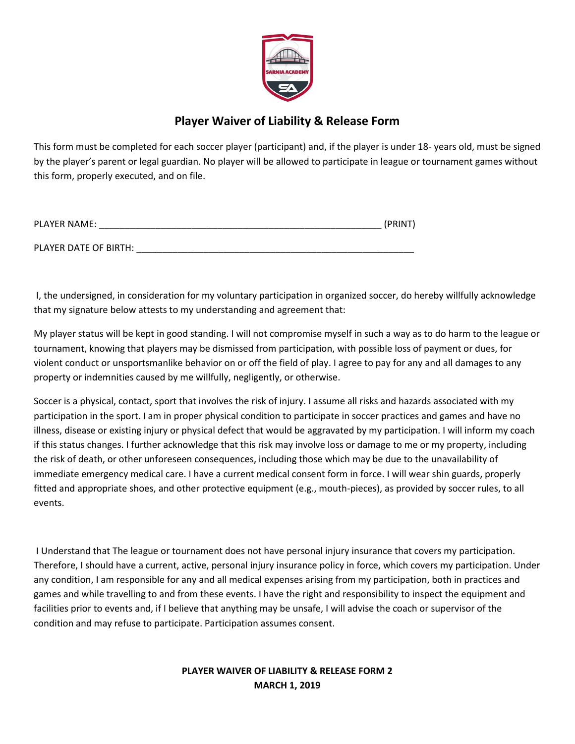

## **Player Waiver of Liability & Release Form**

This form must be completed for each soccer player (participant) and, if the player is under 18- years old, must be signed by the player's parent or legal guardian. No player will be allowed to participate in league or tournament games without this form, properly executed, and on file.

| <b>PLAYER NAME:</b>   | (PRINT) |
|-----------------------|---------|
| PLAYER DATE OF BIRTH: |         |

I, the undersigned, in consideration for my voluntary participation in organized soccer, do hereby willfully acknowledge that my signature below attests to my understanding and agreement that:

My player status will be kept in good standing. I will not compromise myself in such a way as to do harm to the league or tournament, knowing that players may be dismissed from participation, with possible loss of payment or dues, for violent conduct or unsportsmanlike behavior on or off the field of play. I agree to pay for any and all damages to any property or indemnities caused by me willfully, negligently, or otherwise.

Soccer is a physical, contact, sport that involves the risk of injury. I assume all risks and hazards associated with my participation in the sport. I am in proper physical condition to participate in soccer practices and games and have no illness, disease or existing injury or physical defect that would be aggravated by my participation. I will inform my coach if this status changes. I further acknowledge that this risk may involve loss or damage to me or my property, including the risk of death, or other unforeseen consequences, including those which may be due to the unavailability of immediate emergency medical care. I have a current medical consent form in force. I will wear shin guards, properly fitted and appropriate shoes, and other protective equipment (e.g., mouth-pieces), as provided by soccer rules, to all events.

I Understand that The league or tournament does not have personal injury insurance that covers my participation. Therefore, I should have a current, active, personal injury insurance policy in force, which covers my participation. Under any condition, I am responsible for any and all medical expenses arising from my participation, both in practices and games and while travelling to and from these events. I have the right and responsibility to inspect the equipment and facilities prior to events and, if I believe that anything may be unsafe, I will advise the coach or supervisor of the condition and may refuse to participate. Participation assumes consent.

## **PLAYER WAIVER OF LIABILITY & RELEASE FORM 2 MARCH 1, 2019**